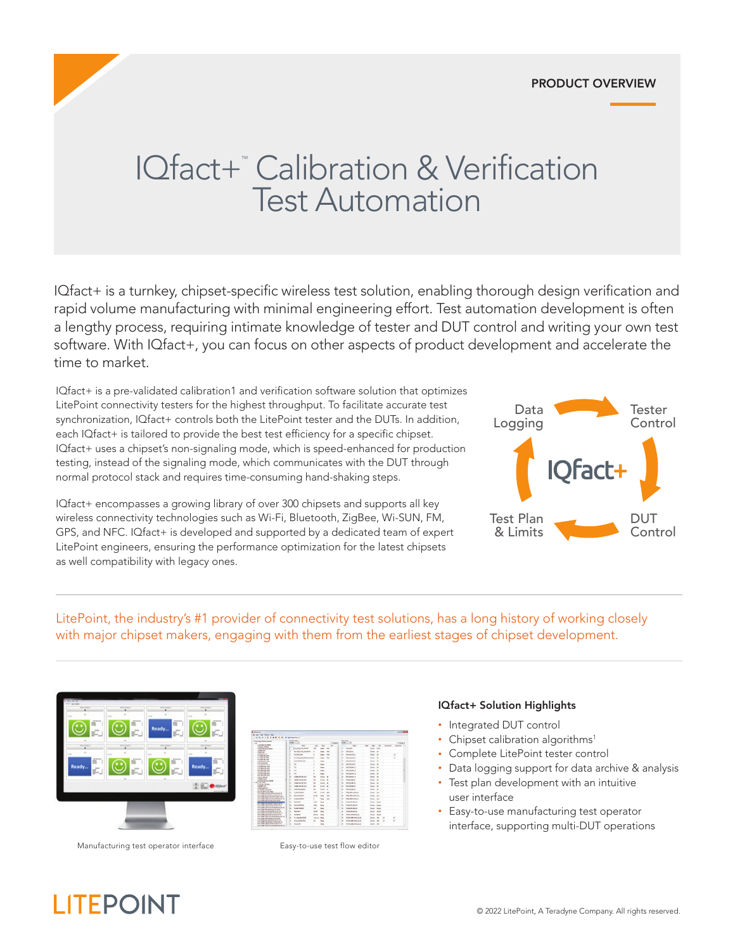### PRODUCT OVERVIEW

# IQfact+™ Calibration & Verification Test Automation

IQfact+ is a turnkey, chipset-specific wireless test solution, enabling thorough design verification and rapid volume manufacturing with minimal engineering effort. Test automation development is often a lengthy process, requiring intimate knowledge of tester and DUT control and writing your own test software. With IQfact+, you can focus on other aspects of product development and accelerate the time to market.

IQfact+ is a pre-validated calibration1 and verification software solution that optimizes LitePoint connectivity testers for the highest throughput. To facilitate accurate test synchronization, IQfact+ controls both the LitePoint tester and the DUTs. In addition, each IQfact+ is tailored to provide the best test efficiency for a specific chipset. IQfact+ uses a chipset's non-signaling mode, which is speed-enhanced for production testing, instead of the signaling mode, which communicates with the DUT through normal protocol stack and requires time-consuming hand-shaking steps.

IQfact+ encompasses a growing library of over 300 chipsets and supports all key wireless connectivity technologies such as Wi-Fi, Bluetooth, ZigBee, Wi-SUN, FM, GPS, and NFC. IQfact+ is developed and supported by a dedicated team of expert LitePoint engineers, ensuring the performance optimization for the latest chipsets as well compatibility with legacy ones.



LitePoint, the industry's #1 provider of connectivity test solutions, has a long history of working closely with major chipset makers, engaging with them from the earliest stages of chipset development.



Manufacturing test operator interface Easy-to-use test flow editor

**LITEPOINT** 



#### IQfact+ Solution Highlights

- Integrated DUT control
- Chipset calibration algorithms<sup>1</sup>
- Complete LitePoint tester control
- Data logging support for data archive & analysis
- Test plan development with an intuitive user interface
- Easy-to-use manufacturing test operator interface, supporting multi-DUT operations